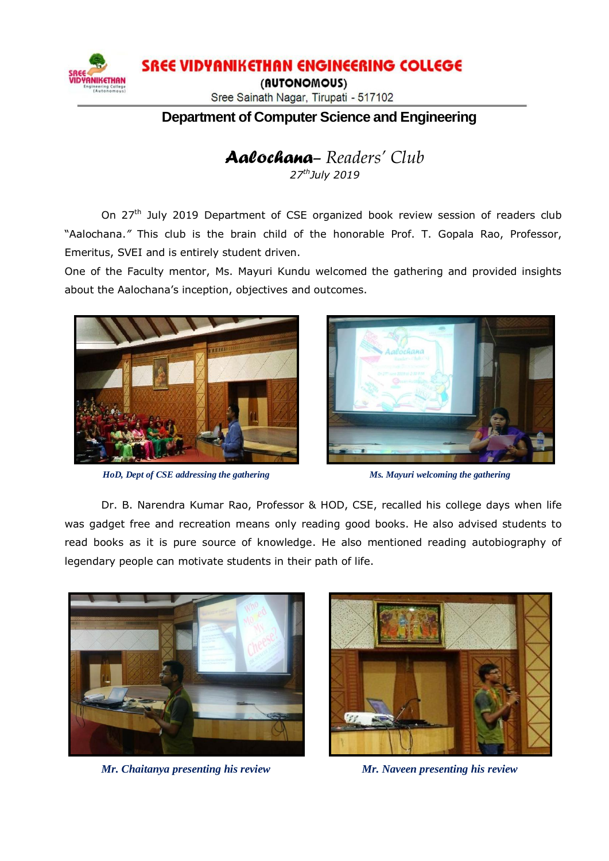

**SREE VIDYANIKETHAN ENGINEERING COLLEGE** 

(AUTONOMOUS)

Sree Sainath Nagar, Tirupati - 517102

**Department of Computer Science and Engineering**

*Aalochana*– *Readers' Club 27thJuly 2019*

On 27<sup>th</sup> July 2019 Department of CSE organized book review session of readers club "Aalochana.*"* This club is the brain child of the honorable Prof. T. Gopala Rao, Professor, Emeritus, SVEI and is entirely student driven.

One of the Faculty mentor, Ms. Mayuri Kundu welcomed the gathering and provided insights about the Aalochana's inception, objectives and outcomes.



*HoD, Dept of CSE addressing the gathering Ms. Mayuri welcoming the gathering*



Dr. B. Narendra Kumar Rao, Professor & HOD, CSE, recalled his college days when life was gadget free and recreation means only reading good books. He also advised students to read books as it is pure source of knowledge. He also mentioned reading autobiography of legendary people can motivate students in their path of life.



*Mr. Chaitanya presenting his review Mr. Naveen presenting his review*